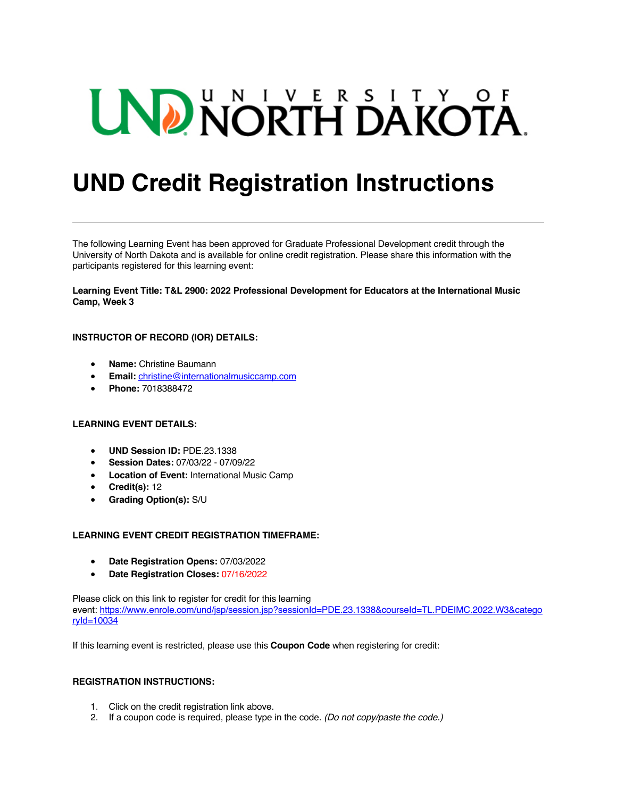# UND NORTH DAKOTA.

# **UND Credit Registration Instructions**

The following Learning Event has been approved for Graduate Professional Development credit through the University of North Dakota and is available for online credit registration. Please share this information with the participants registered for this learning event:

**Learning Event Title: T&L 2900: 2022 Professional Development for Educators at the International Music Camp, Week 3**

# **INSTRUCTOR OF RECORD (IOR) DETAILS:**

- **Name:** Christine Baumann
- **Email:** christine@internationalmusiccamp.com
- **Phone:** 7018388472

#### **LEARNING EVENT DETAILS:**

- **UND Session ID:** PDE.23.1338
- **Session Dates:** 07/03/22 07/09/22
- **Location of Event:** International Music Camp
- **Credit(s):** 12
- **Grading Option(s):** S/U

# **LEARNING EVENT CREDIT REGISTRATION TIMEFRAME:**

- **Date Registration Opens:** 07/03/2022
- **Date Registration Closes:** 07/16/2022

Please click on this link to register for credit for this learning event: https://www.enrole.com/und/jsp/session.jsp?sessionId=PDE.23.1338&courseId=TL.PDEIMC.2022.W3&catego ryId=10034

If this learning event is restricted, please use this **Coupon Code** when registering for credit:

#### **REGISTRATION INSTRUCTIONS:**

- 1. Click on the credit registration link above.
- 2. If a coupon code is required, please type in the code. *(Do not copy/paste the code.)*